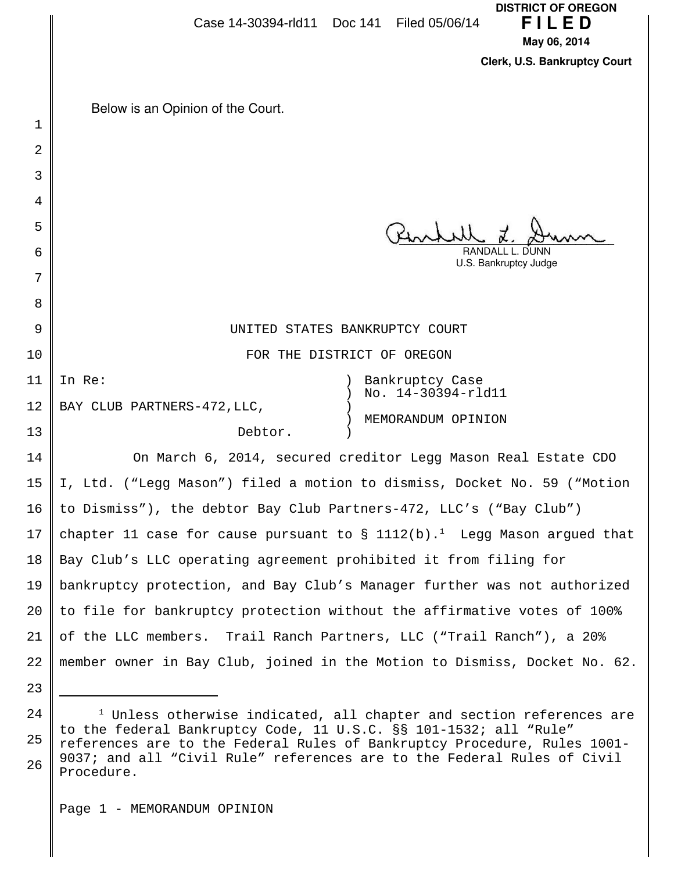|    | <b>DISTRICT OF OREGON</b><br>FILED<br>Case 14-30394-rld11 Doc 141 Filed 05/06/14<br>May 06, 2014                                              |
|----|-----------------------------------------------------------------------------------------------------------------------------------------------|
|    | Clerk, U.S. Bankruptcy Court                                                                                                                  |
|    |                                                                                                                                               |
| 1  | Below is an Opinion of the Court.                                                                                                             |
| 2  |                                                                                                                                               |
| 3  |                                                                                                                                               |
| 4  |                                                                                                                                               |
| 5  |                                                                                                                                               |
| 6  | RANDALL L. DUNN                                                                                                                               |
| 7  | U.S. Bankruptcy Judge                                                                                                                         |
| 8  |                                                                                                                                               |
| 9  | UNITED STATES BANKRUPTCY COURT                                                                                                                |
| 10 | FOR THE DISTRICT OF OREGON                                                                                                                    |
| 11 | In Re:<br>Bankruptcy Case                                                                                                                     |
| 12 | No. 14-30394-rld11<br>BAY CLUB PARTNERS-472, LLC,                                                                                             |
| 13 | MEMORANDUM OPINION<br>Debtor.                                                                                                                 |
| 14 | On March 6, 2014, secured creditor Legg Mason Real Estate CDO                                                                                 |
| 15 | I, Ltd. ("Legg Mason") filed a motion to dismiss, Docket No. 59 ("Motion                                                                      |
| 16 | to Dismiss"), the debtor Bay Club Partners-472, LLC's ("Bay Club")                                                                            |
| 17 | chapter 11 case for cause pursuant to $\S$ 1112(b). <sup>1</sup> Legg Mason argued that                                                       |
| 18 | Bay Club's LLC operating agreement prohibited it from filing for                                                                              |
| 19 | bankruptcy protection, and Bay Club's Manager further was not authorized                                                                      |
| 20 | to file for bankruptcy protection without the affirmative votes of 100%                                                                       |
| 21 | of the LLC members. Trail Ranch Partners, LLC ("Trail Ranch"), a 20%                                                                          |
| 22 | member owner in Bay Club, joined in the Motion to Dismiss, Docket No. 62.                                                                     |
| 23 |                                                                                                                                               |
| 24 | <sup>1</sup> Unless otherwise indicated, all chapter and section references are                                                               |
| 25 | to the federal Bankruptcy Code, 11 U.S.C. §§ 101-1532; all "Rule"<br>references are to the Federal Rules of Bankruptcy Procedure, Rules 1001- |

<sup>26</sup> references are to the Federal Rules of Bankruptcy Procedure, Rules 1001- 9037; and all "Civil Rule" references are to the Federal Rules of Civil Procedure.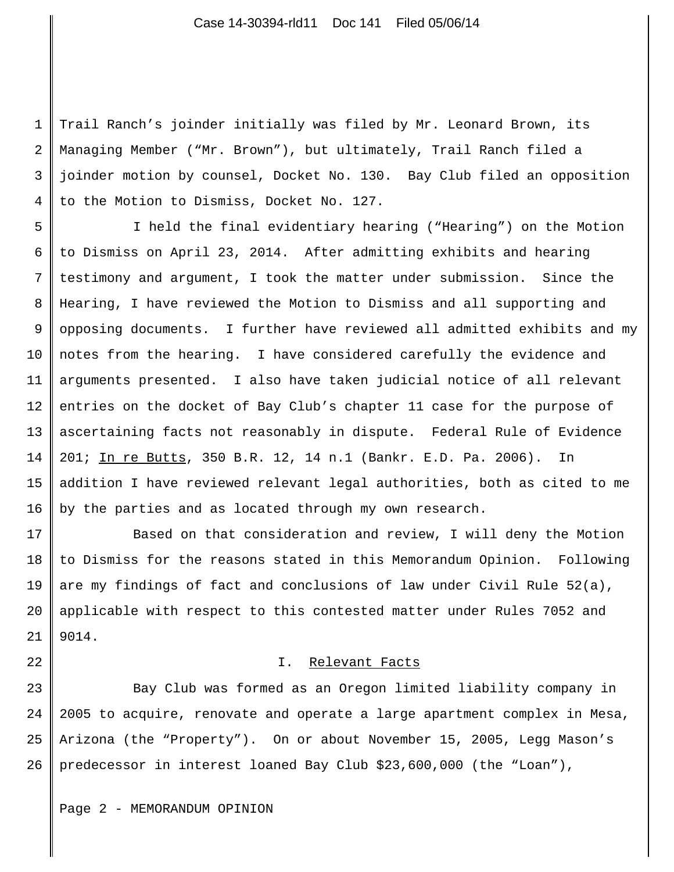1 2 3 4 Trail Ranch's joinder initially was filed by Mr. Leonard Brown, its Managing Member ("Mr. Brown"), but ultimately, Trail Ranch filed a joinder motion by counsel, Docket No. 130. Bay Club filed an opposition to the Motion to Dismiss, Docket No. 127.

5 6 7 8 9 10 11 12 13 14 15 16 I held the final evidentiary hearing ("Hearing") on the Motion to Dismiss on April 23, 2014. After admitting exhibits and hearing testimony and argument, I took the matter under submission. Since the Hearing, I have reviewed the Motion to Dismiss and all supporting and opposing documents. I further have reviewed all admitted exhibits and my notes from the hearing. I have considered carefully the evidence and arguments presented. I also have taken judicial notice of all relevant entries on the docket of Bay Club's chapter 11 case for the purpose of ascertaining facts not reasonably in dispute. Federal Rule of Evidence 201; In re Butts, 350 B.R. 12, 14 n.1 (Bankr. E.D. Pa. 2006). In addition I have reviewed relevant legal authorities, both as cited to me by the parties and as located through my own research.

17 18 19 20 21 Based on that consideration and review, I will deny the Motion to Dismiss for the reasons stated in this Memorandum Opinion. Following are my findings of fact and conclusions of law under Civil Rule 52(a), applicable with respect to this contested matter under Rules 7052 and 9014.

## I. Relevant Facts

23 24 25 26 Bay Club was formed as an Oregon limited liability company in 2005 to acquire, renovate and operate a large apartment complex in Mesa, Arizona (the "Property"). On or about November 15, 2005, Legg Mason's predecessor in interest loaned Bay Club \$23,600,000 (the "Loan"),

Page 2 - MEMORANDUM OPINION

22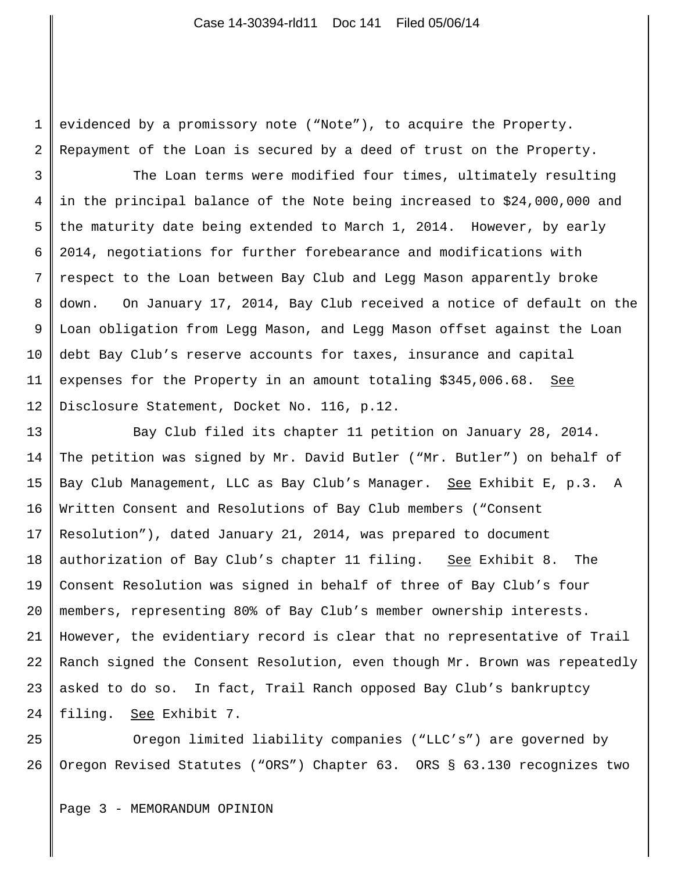1 2 evidenced by a promissory note ("Note"), to acquire the Property. Repayment of the Loan is secured by a deed of trust on the Property.

3 4 5 6 7 8 9 10 11 12 The Loan terms were modified four times, ultimately resulting in the principal balance of the Note being increased to \$24,000,000 and the maturity date being extended to March 1, 2014. However, by early 2014, negotiations for further forebearance and modifications with respect to the Loan between Bay Club and Legg Mason apparently broke down. On January 17, 2014, Bay Club received a notice of default on the Loan obligation from Legg Mason, and Legg Mason offset against the Loan debt Bay Club's reserve accounts for taxes, insurance and capital expenses for the Property in an amount totaling \$345,006.68. See Disclosure Statement, Docket No. 116, p.12.

13 14 15 16 17 18 19 20 21 22 23 24 Bay Club filed its chapter 11 petition on January 28, 2014. The petition was signed by Mr. David Butler ("Mr. Butler") on behalf of Bay Club Management, LLC as Bay Club's Manager. See Exhibit E, p.3. A Written Consent and Resolutions of Bay Club members ("Consent Resolution"), dated January 21, 2014, was prepared to document authorization of Bay Club's chapter 11 filing. See Exhibit 8. The Consent Resolution was signed in behalf of three of Bay Club's four members, representing 80% of Bay Club's member ownership interests. However, the evidentiary record is clear that no representative of Trail Ranch signed the Consent Resolution, even though Mr. Brown was repeatedly asked to do so. In fact, Trail Ranch opposed Bay Club's bankruptcy filing. See Exhibit 7.

25 26 Oregon limited liability companies ("LLC's") are governed by Oregon Revised Statutes ("ORS") Chapter 63. ORS § 63.130 recognizes two

Page 3 - MEMORANDUM OPINION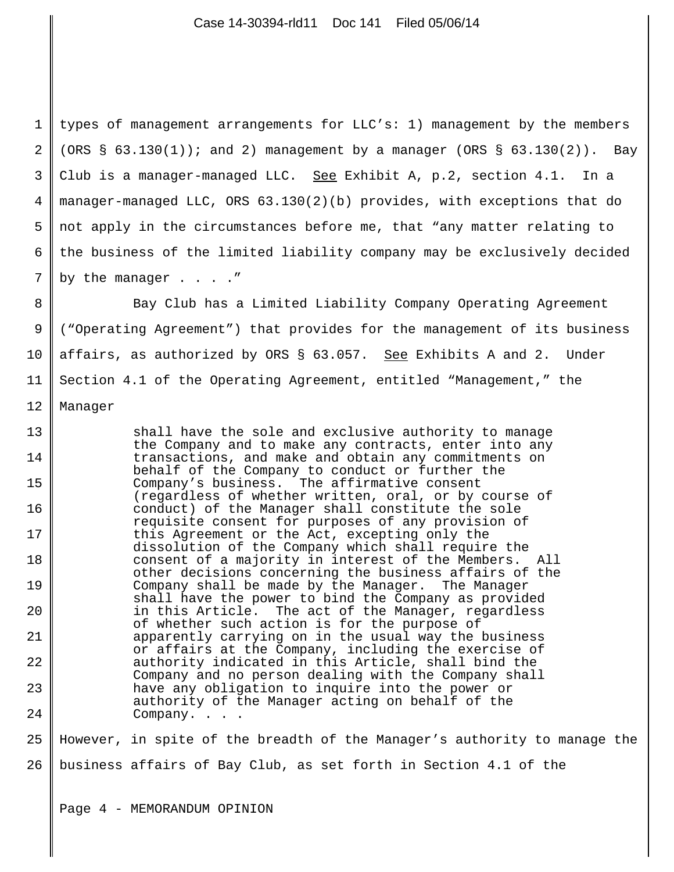1 2 3 4 5 6 7 types of management arrangements for LLC's: 1) management by the members (ORS  $\S$  63.130(1)); and 2) management by a manager (ORS  $\S$  63.130(2)). Bay Club is a manager-managed LLC. See Exhibit A, p.2, section 4.1. In a manager-managed LLC, ORS 63.130(2)(b) provides, with exceptions that do not apply in the circumstances before me, that "any matter relating to the business of the limited liability company may be exclusively decided by the manager . . . . "

8 9 10 11 12 Bay Club has a Limited Liability Company Operating Agreement ("Operating Agreement") that provides for the management of its business affairs, as authorized by ORS § 63.057. See Exhibits A and 2. Under Section 4.1 of the Operating Agreement, entitled "Management," the Manager

13 14 15 16 17 18 19 20 21 22 23 24 shall have the sole and exclusive authority to manage the Company and to make any contracts, enter into any transactions, and make and obtain any commitments on behalf of the Company to conduct or further the Company's business. The affirmative consent (regardless of whether written, oral, or by course of conduct) of the Manager shall constitute the sole requisite consent for purposes of any provision of this Agreement or the Act, excepting only the dissolution of the Company which shall require the consent of a majority in interest of the Members. All other decisions concerning the business affairs of the Company shall be made by the Manager. The Manager shall have the power to bind the Company as provided in this Article. The act of the Manager, regardless of whether such action is for the purpose of apparently carrying on in the usual way the business or affairs at the Company, including the exercise of authority indicated in this Article, shall bind the Company and no person dealing with the Company shall have any obligation to inquire into the power or authority of the Manager acting on behalf of the Company. . . .

25 26 However, in spite of the breadth of the Manager's authority to manage the business affairs of Bay Club, as set forth in Section 4.1 of the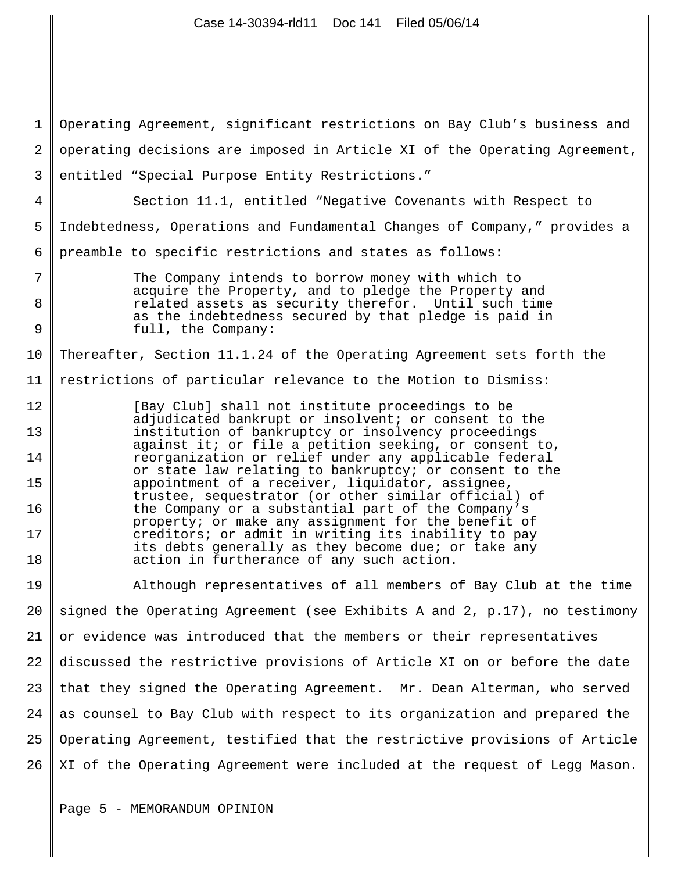| 1              | Operating Agreement, significant restrictions on Bay Club's business and                                        |
|----------------|-----------------------------------------------------------------------------------------------------------------|
| $\overline{2}$ | operating decisions are imposed in Article XI of the Operating Agreement,                                       |
| 3              | entitled "Special Purpose Entity Restrictions."                                                                 |
| 4              | Section 11.1, entitled "Negative Covenants with Respect to                                                      |
| 5              | Indebtedness, Operations and Fundamental Changes of Company," provides a                                        |
| 6              | preamble to specific restrictions and states as follows:                                                        |
| 7              | The Company intends to borrow money with which to                                                               |
| 8              | acquire the Property, and to pledge the Property and<br>related assets as security therefor. Until such time    |
| 9              | as the indebtedness secured by that pledge is paid in<br>full, the Company:                                     |
| 10             | Thereafter, Section 11.1.24 of the Operating Agreement sets forth the                                           |
| 11             | restrictions of particular relevance to the Motion to Dismiss:                                                  |
| 12             | [Bay Club] shall not institute proceedings to be                                                                |
| 13             | adjudicated bankrupt or insolvent; or consent to the<br>institution of bankruptcy or insolvency proceedings     |
| 14             | against it; or file a petition seeking, or consent to,<br>reorganization or relief under any applicable federal |
| 15             | or state law relating to bankruptcy; or consent to the<br>appointment of a receiver, liquidator, assignee,      |
| 16             | trustee, sequestrator (or other similar official) of<br>the Company or a substantial part of the Company's      |
| 17             | property; or make any assignment for the benefit of<br>creditors; or admit in writing its inability to pay      |
| 18             | its debts generally as they become due; or take any<br>action in furtherance of any such action.                |
| 19             | Although representatives of all members of Bay Club at the time                                                 |
| 20             | signed the Operating Agreement (see Exhibits A and 2, p.17), no testimony                                       |
| 21             | or evidence was introduced that the members or their representatives                                            |
| 22             | discussed the restrictive provisions of Article XI on or before the date                                        |
| 23             | that they signed the Operating Agreement. Mr. Dean Alterman, who served                                         |
| 24             | as counsel to Bay Club with respect to its organization and prepared the                                        |
| 25             | Operating Agreement, testified that the restrictive provisions of Article                                       |
| 26             | XI of the Operating Agreement were included at the request of Legg Mason.                                       |

Case 14-30394-rld11 Doc 141 Filed 05/06/14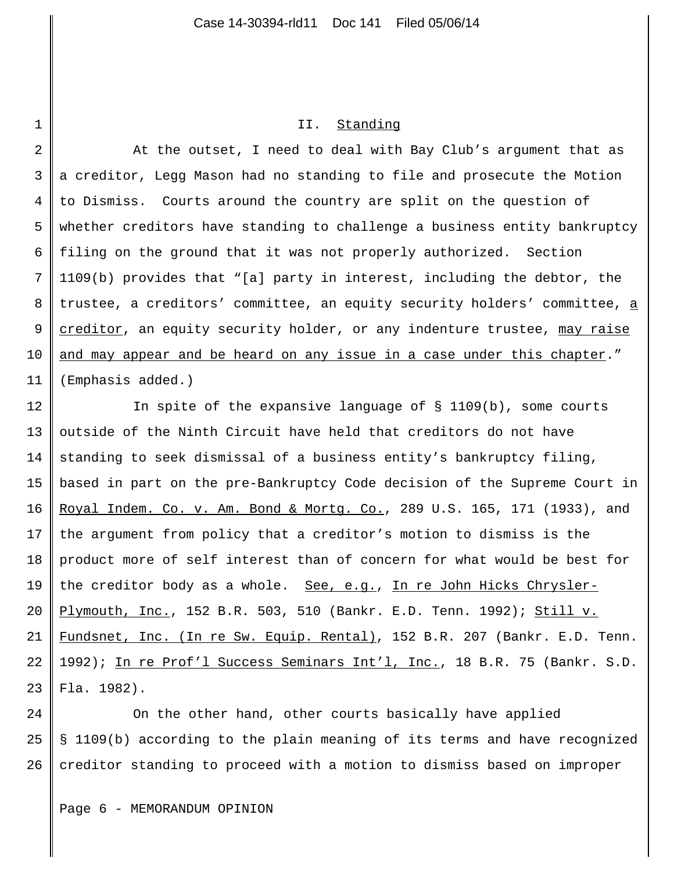## II. Standing

2 3 4 5 6 7 8 9 10 11 At the outset, I need to deal with Bay Club's argument that as a creditor, Legg Mason had no standing to file and prosecute the Motion to Dismiss. Courts around the country are split on the question of whether creditors have standing to challenge a business entity bankruptcy filing on the ground that it was not properly authorized. Section 1109(b) provides that "[a] party in interest, including the debtor, the trustee, a creditors' committee, an equity security holders' committee, a creditor, an equity security holder, or any indenture trustee, may raise and may appear and be heard on any issue in a case under this chapter." (Emphasis added.)

12 13 14 15 16 17 18 19 20 21 22 23 In spite of the expansive language of  $\S$  1109(b), some courts outside of the Ninth Circuit have held that creditors do not have standing to seek dismissal of a business entity's bankruptcy filing, based in part on the pre-Bankruptcy Code decision of the Supreme Court in Royal Indem. Co. v. Am. Bond & Mortg. Co., 289 U.S. 165, 171 (1933), and the argument from policy that a creditor's motion to dismiss is the product more of self interest than of concern for what would be best for the creditor body as a whole. See, e.g., In re John Hicks Chrysler-Plymouth, Inc., 152 B.R. 503, 510 (Bankr. E.D. Tenn. 1992); Still v. Fundsnet, Inc. (In re Sw. Equip. Rental), 152 B.R. 207 (Bankr. E.D. Tenn. 1992); In re Prof'l Success Seminars Int'l, Inc., 18 B.R. 75 (Bankr. S.D. Fla. 1982).

24 25 26 On the other hand, other courts basically have applied § 1109(b) according to the plain meaning of its terms and have recognized creditor standing to proceed with a motion to dismiss based on improper

1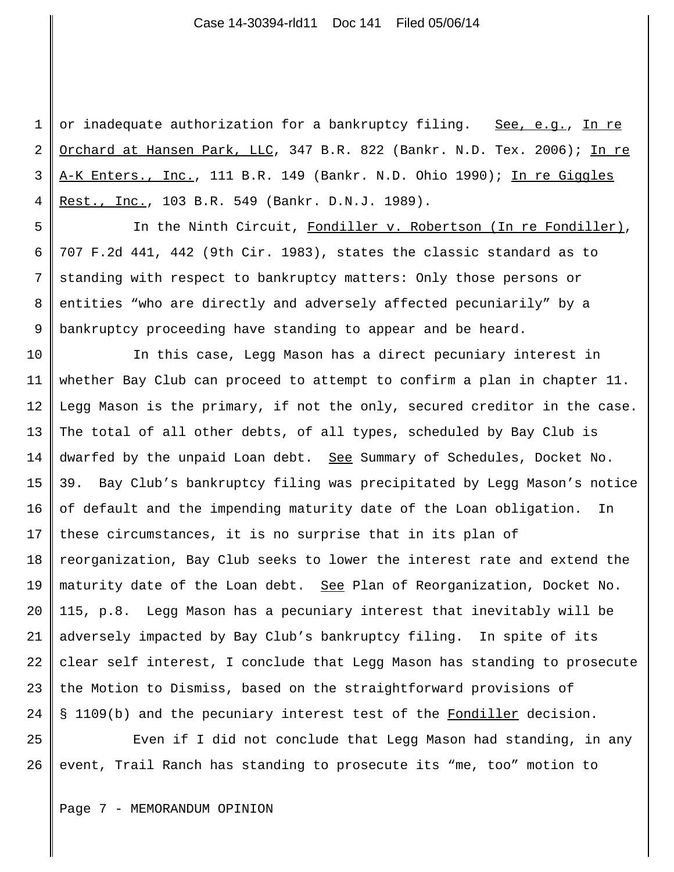1 2 3 4 or inadequate authorization for a bankruptcy filing. See, e.g., In re Orchard at Hansen Park, LLC, 347 B.R. 822 (Bankr. N.D. Tex. 2006); In re A-K Enters., Inc., 111 B.R. 149 (Bankr. N.D. Ohio 1990); In re Giggles Rest., Inc., 103 B.R. 549 (Bankr. D.N.J. 1989).

5 6 7 8 9 In the Ninth Circuit, Fondiller v. Robertson (In re Fondiller), 707 F.2d 441, 442 (9th Cir. 1983), states the classic standard as to standing with respect to bankruptcy matters: Only those persons or entities "who are directly and adversely affected pecuniarily" by a bankruptcy proceeding have standing to appear and be heard.

10 11 12 13 14 15 16 17 18 19 20 21 22 23 24 In this case, Legg Mason has a direct pecuniary interest in whether Bay Club can proceed to attempt to confirm a plan in chapter 11. Legg Mason is the primary, if not the only, secured creditor in the case. The total of all other debts, of all types, scheduled by Bay Club is dwarfed by the unpaid Loan debt. See Summary of Schedules, Docket No. 39. Bay Club's bankruptcy filing was precipitated by Legg Mason's notice of default and the impending maturity date of the Loan obligation. In these circumstances, it is no surprise that in its plan of reorganization, Bay Club seeks to lower the interest rate and extend the maturity date of the Loan debt. See Plan of Reorganization, Docket No. 115, p.8. Legg Mason has a pecuniary interest that inevitably will be adversely impacted by Bay Club's bankruptcy filing. In spite of its clear self interest, I conclude that Legg Mason has standing to prosecute the Motion to Dismiss, based on the straightforward provisions of § 1109(b) and the pecuniary interest test of the Fondiller decision.

25 26 Even if I did not conclude that Legg Mason had standing, in any event, Trail Ranch has standing to prosecute its "me, too" motion to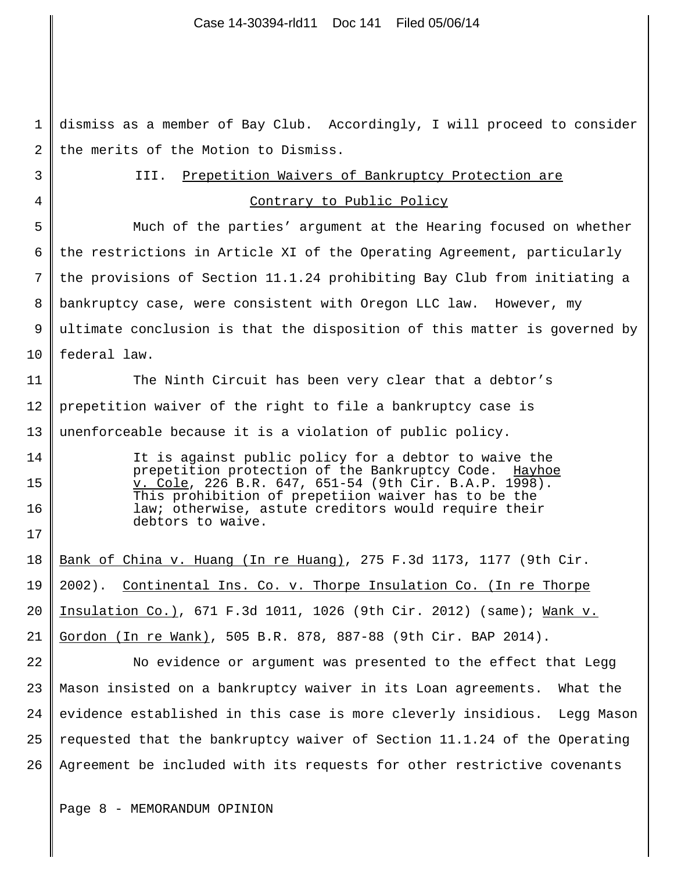1 2 3 4 5 6 7 8 9 10 11 12 13 14 15 16 17 18 19 20 21 22 23 24 25 26 dismiss as a member of Bay Club. Accordingly, I will proceed to consider the merits of the Motion to Dismiss. III. Prepetition Waivers of Bankruptcy Protection are Contrary to Public Policy Much of the parties' argument at the Hearing focused on whether the restrictions in Article XI of the Operating Agreement, particularly the provisions of Section 11.1.24 prohibiting Bay Club from initiating a bankruptcy case, were consistent with Oregon LLC law. However, my ultimate conclusion is that the disposition of this matter is governed by federal law. The Ninth Circuit has been very clear that a debtor's prepetition waiver of the right to file a bankruptcy case is unenforceable because it is a violation of public policy. It is against public policy for a debtor to waive the prepetition protection of the Bankruptcy Code. <u>Hayhoe</u> v. Cole, 226 B.R. 647, 651-54 (9th Cir. B.A.P. 1998). This prohibition of prepetiion waiver has to be the law; otherwise, astute creditors would require their debtors to waive. Bank of China v. Huang (In re Huang), 275 F.3d 1173, 1177 (9th Cir. 2002). Continental Ins. Co. v. Thorpe Insulation Co. (In re Thorpe Insulation Co.), 671 F.3d 1011, 1026 (9th Cir. 2012) (same); Wank v. Gordon (In re Wank), 505 B.R. 878, 887-88 (9th Cir. BAP 2014). No evidence or argument was presented to the effect that Legg Mason insisted on a bankruptcy waiver in its Loan agreements. What the evidence established in this case is more cleverly insidious. Legg Mason requested that the bankruptcy waiver of Section 11.1.24 of the Operating Agreement be included with its requests for other restrictive covenants

Page 8 - MEMORANDUM OPINION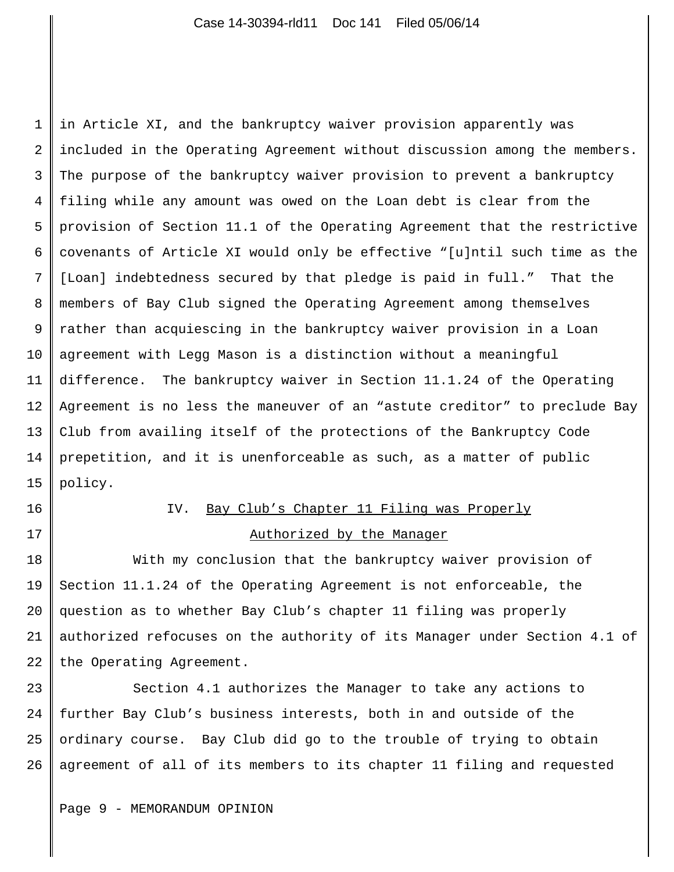1 2 3 4 5 6 7 8 9 10 11 12 13 14 15 in Article XI, and the bankruptcy waiver provision apparently was included in the Operating Agreement without discussion among the members. The purpose of the bankruptcy waiver provision to prevent a bankruptcy filing while any amount was owed on the Loan debt is clear from the provision of Section 11.1 of the Operating Agreement that the restrictive covenants of Article XI would only be effective "[u]ntil such time as the [Loan] indebtedness secured by that pledge is paid in full." That the members of Bay Club signed the Operating Agreement among themselves rather than acquiescing in the bankruptcy waiver provision in a Loan agreement with Legg Mason is a distinction without a meaningful difference. The bankruptcy waiver in Section 11.1.24 of the Operating Agreement is no less the maneuver of an "astute creditor" to preclude Bay Club from availing itself of the protections of the Bankruptcy Code prepetition, and it is unenforceable as such, as a matter of public policy.

16

## 17

## IV. Bay Club's Chapter 11 Filing was Properly Authorized by the Manager

18 19 20 21 22 With my conclusion that the bankruptcy waiver provision of Section 11.1.24 of the Operating Agreement is not enforceable, the question as to whether Bay Club's chapter 11 filing was properly authorized refocuses on the authority of its Manager under Section 4.1 of the Operating Agreement.

23 24 25 26 Section 4.1 authorizes the Manager to take any actions to further Bay Club's business interests, both in and outside of the ordinary course. Bay Club did go to the trouble of trying to obtain agreement of all of its members to its chapter 11 filing and requested